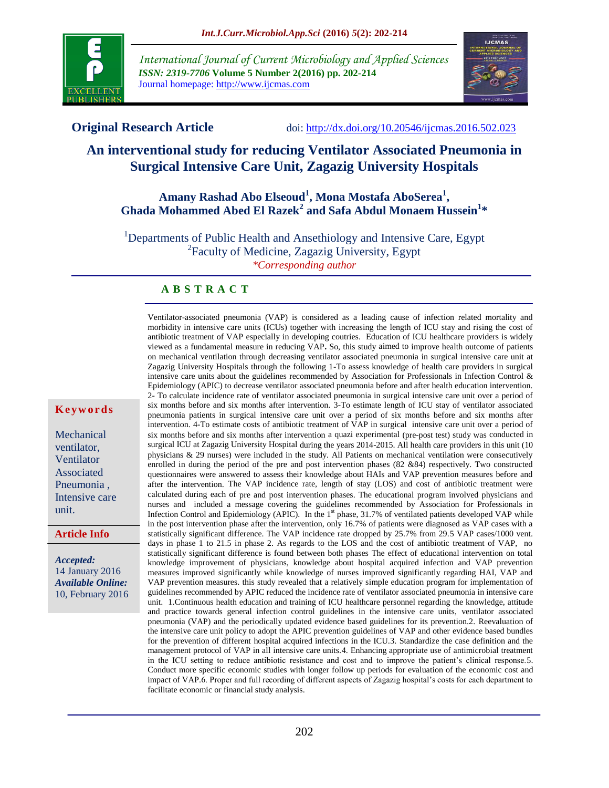

*International Journal of Current Microbiology and Applied Sciences ISSN: 2319-7706* **Volume 5 Number 2(2016) pp. 202-214** Journal homepage: http://www.ijcmas.com



**Original Research Article** doi: [http://dx.doi.org/10.20546/ijcmas.2016.502.023](http://dx.doi.org/10.20546/ijcmas.2016.501.023)

# **An interventional study for reducing Ventilator Associated Pneumonia in Surgical Intensive Care Unit, Zagazig University Hospitals**

# **Amany Rashad Abo Elseoud<sup>1</sup> , Mona Mostafa AboSerea<sup>1</sup> , Ghada Mohammed Abed El Razek<sup>2</sup> and Safa Abdul Monaem Hussein<sup>1</sup> \***

<sup>1</sup>Departments of Public Health and Ansethiology and Intensive Care, Egypt <sup>2</sup> Faculty of Medicine, Zagazig University, Egypt *\*Corresponding author*

#### **A B S T R A C T**

Ventilator-associated pneumonia (VAP) is considered as a leading cause of infection related mortality and morbidity in intensive care units (ICUs) together with increasing the length of ICU stay and rising the cost of antibiotic treatment of VAP especially in developing coutries. Education of ICU healthcare providers is widely viewed as a fundamental measure in reducing VAP**.** So, this study aimed to improve health outcome of patients on mechanical ventilation through decreasing ventilator associated pneumonia in surgical intensive care unit at Zagazig University Hospitals through the following 1-To assess knowledge of health care providers in surgical intensive care units about the guidelines recommended by Association for Professionals in Infection Control & Epidemiology (APIC) to decrease ventilator associated pneumonia before and after health education intervention. 2- To calculate incidence rate of ventilator associated pneumonia in surgical intensive care unit over a period of six months before and six months after intervention. 3-To estimate length of ICU stay of ventilator associated pneumonia patients in surgical intensive care unit over a period of six months before and six months after intervention. 4-To estimate costs of antibiotic treatment of VAP in surgical intensive care unit over a period of six months before and six months after intervention a quazi experimental (pre-post test) study was conducted in surgical ICU at Zagazig University Hospital during the years 2014-2015. All health care providers in this unit (10 physicians & 29 nurses) were included in the study. All Patients on mechanical ventilation were consecutively enrolled in during the period of the pre and post intervention phases (82 &84) respectively. Two constructed questionnaires were answered to assess their knowledge about HAIs and VAP prevention measures before and after the intervention. The VAP incidence rate, length of stay (LOS) and cost of antibiotic treatment were calculated during each of pre and post intervention phases. The educational program involved physicians and nurses and included a message covering the guidelines recommended by Association for Professionals in Infection Control and Epidemiology (APIC). In the  $1<sup>st</sup>$  phase, 31.7% of ventilated patients developed VAP while in the post intervention phase after the intervention, only 16.7% of patients were diagnosed as VAP cases with a statistically significant difference. The VAP incidence rate dropped by 25.7% from 29.5 VAP cases/1000 vent. days in phase 1 to 21.5 in phase 2. As regards to the LOS and the cost of antibiotic treatment of VAP, no statistically significant difference is found between both phases The effect of educational intervention on total knowledge improvement of physicians, knowledge about hospital acquired infection and VAP prevention measures improved significantly while knowledge of nurses improved significantly regarding HAI, VAP and VAP prevention measures. this study revealed that a relatively simple education program for implementation of guidelines recommended by APIC reduced the incidence rate of ventilator associated pneumonia in intensive care unit. 1.Continuous health education and training of ICU healthcare personnel regarding the knowledge, attitude and practice towards general infection control guidelines in the intensive care units, ventilator associated pneumonia (VAP) and the periodically updated evidence based guidelines for its prevention.2. Reevaluation of the intensive care unit policy to adopt the APIC prevention guidelines of VAP and other evidence based bundles for the prevention of different hospital acquired infections in the ICU.3. Standardize the case definition and the management protocol of VAP in all intensive care units.4. Enhancing appropriate use of antimicrobial treatment in the ICU setting to reduce antibiotic resistance and cost and to improve the patient's clinical response.5. Conduct more specific economic studies with longer follow up periods for evaluation of the economic cost and impact of VAP.6. Proper and full recording of different aspects of Zagazig hospital's costs for each department to facilitate economic or financial study analysis.

#### **K e y w o r d s**

Mechanical ventilator, Ventilator Associated Pneumonia , Intensive care unit.

#### **Article Info**

*Accepted:*  14 January 2016 *Available Online:* 10, February 2016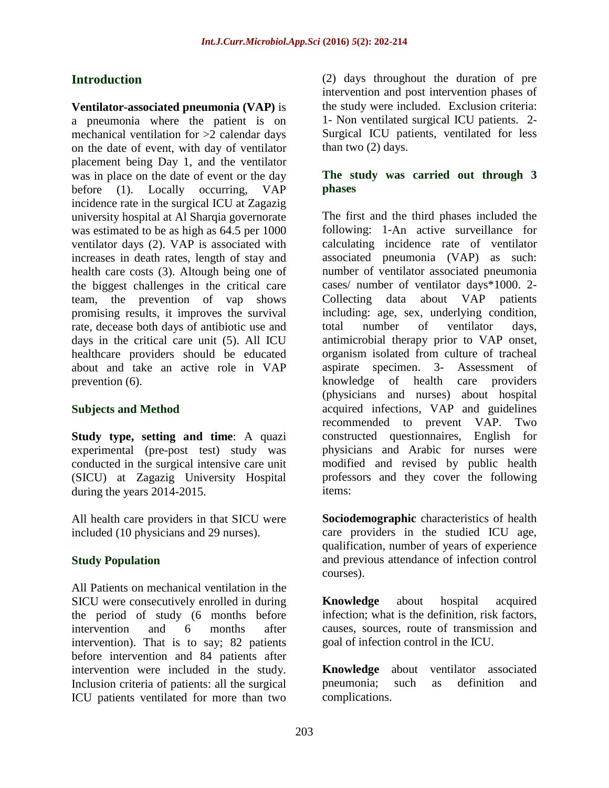# **Introduction**

**Ventilator-associated pneumonia (VAP)** is a pneumonia where the patient is on mechanical ventilation for >2 calendar days on the date of event, with day of ventilator placement being Day 1, and the ventilator was in place on the date of event or the day before (1). Locally occurring, VAP incidence rate in the surgical ICU at Zagazig university hospital at Al Sharqia governorate was estimated to be as high as 64.5 per 1000 ventilator days (2). VAP is associated with increases in death rates, length of stay and health care costs (3). Altough being one of the biggest challenges in the critical care team, the prevention of vap shows promising results, it improves the survival rate, decease both days of antibiotic use and days in the critical care unit (5). All ICU healthcare providers should be educated about and take an active role in VAP prevention (6).

#### **Subjects and Method**

**Study type, setting and time**: A quazi experimental (pre-post test) study was conducted in the surgical intensive care unit (SICU) at Zagazig University Hospital during the years 2014-2015.

All health care providers in that SICU were included (10 physicians and 29 nurses).

#### **Study Population**

All Patients on mechanical ventilation in the SICU were consecutively enrolled in during the period of study (6 months before intervention and 6 months after intervention). That is to say; 82 patients before intervention and 84 patients after intervention were included in the study. Inclusion criteria of patients: all the surgical ICU patients ventilated for more than two (2) days throughout the duration of pre intervention and post intervention phases of the study were included. Exclusion criteria: 1- Non ventilated surgical ICU patients. 2- Surgical ICU patients, ventilated for less than two (2) days.

#### **The study was carried out through 3 phases**

The first and the third phases included the following: 1-An active surveillance for calculating incidence rate of ventilator associated pneumonia (VAP) as such: number of ventilator associated pneumonia cases/ number of ventilator days\*1000. 2- Collecting data about VAP patients including: age, sex, underlying condition, total number of ventilator days, antimicrobial therapy prior to VAP onset, organism isolated from culture of tracheal aspirate specimen. 3- Assessment of knowledge of health care providers (physicians and nurses) about hospital acquired infections, VAP and guidelines recommended to prevent VAP. Two constructed questionnaires, English for physicians and Arabic for nurses were modified and revised by public health professors and they cover the following items:

**Sociodemographic** characteristics of health care providers in the studied ICU age, qualification, number of years of experience and previous attendance of infection control courses).

**Knowledge** about hospital acquired infection; what is the definition, risk factors, causes, sources, route of transmission and goal of infection control in the ICU.

**Knowledge** about ventilator associated pneumonia; such as definition and complications.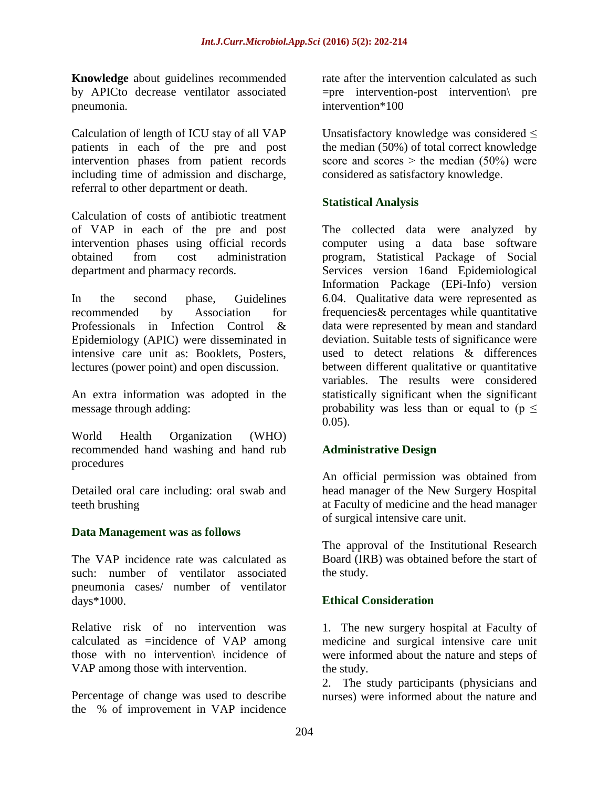**Knowledge** about guidelines recommended by APICto decrease ventilator associated pneumonia.

Calculation of length of ICU stay of all VAP patients in each of the pre and post intervention phases from patient records including time of admission and discharge, referral to other department or death.

Calculation of costs of antibiotic treatment of VAP in each of the pre and post intervention phases using official records obtained from cost administration department and pharmacy records.

In the second phase, Guidelines recommended by Association for Professionals in Infection Control & Epidemiology (APIC) were disseminated in intensive care unit as: Booklets, Posters, lectures (power point) and open discussion.

An extra information was adopted in the message through adding:

World Health Organization (WHO) recommended hand washing and hand rub procedures

Detailed oral care including: oral swab and teeth brushing

#### **Data Management was as follows**

The VAP incidence rate was calculated as such: number of ventilator associated pneumonia cases/ number of ventilator days\*1000.

Relative risk of no intervention was calculated as =incidence of VAP among those with no intervention\ incidence of VAP among those with intervention.

Percentage of change was used to describe the % of improvement in VAP incidence

rate after the intervention calculated as such =pre intervention-post intervention\ pre intervention\*100

Unsatisfactory knowledge was considered  $\leq$ the median (50%) of total correct knowledge score and scores  $>$  the median (50%) were considered as satisfactory knowledge.

#### **Statistical Analysis**

The collected data were analyzed by computer using a data base software program, Statistical Package of Social Services version 16and Epidemiological Information Package (EPi-Info) version 6.04. Qualitative data were represented as frequencies& percentages while quantitative data were represented by mean and standard deviation. Suitable tests of significance were used to detect relations & differences between different qualitative or quantitative variables. The results were considered statistically significant when the significant probability was less than or equal to ( $p \leq$  $0.05$ ).

#### **Administrative Design**

An official permission was obtained from head manager of the New Surgery Hospital at Faculty of medicine and the head manager of surgical intensive care unit.

The approval of the Institutional Research Board (IRB) was obtained before the start of the study.

#### **Ethical Consideration**

1. The new surgery hospital at Faculty of medicine and surgical intensive care unit were informed about the nature and steps of the study.

2. The study participants (physicians and nurses) were informed about the nature and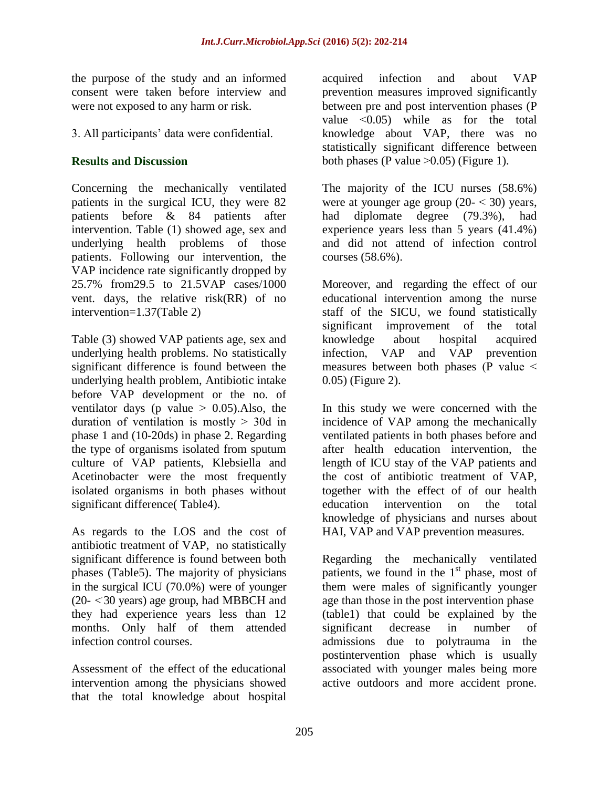the purpose of the study and an informed consent were taken before interview and were not exposed to any harm or risk.

3. All participants' data were confidential.

# **Results and Discussion**

Concerning the mechanically ventilated patients in the surgical ICU, they were 82 patients before & 84 patients after intervention. Table (1) showed age, sex and underlying health problems of those patients. Following our intervention, the VAP incidence rate significantly dropped by 25.7% from29.5 to 21.5VAP cases/1000 vent. days, the relative risk(RR) of no intervention=1.37(Table 2)

Table (3) showed VAP patients age, sex and underlying health problems. No statistically significant difference is found between the underlying health problem, Antibiotic intake before VAP development or the no. of ventilator days (p value  $> 0.05$ ). Also, the duration of ventilation is mostly  $>$  30d in phase 1 and (10-20ds) in phase 2. Regarding the type of organisms isolated from sputum culture of VAP patients, Klebsiella and Acetinobacter were the most frequently isolated organisms in both phases without significant difference( Table4).

As regards to the LOS and the cost of antibiotic treatment of VAP, no statistically significant difference is found between both phases (Table5). The majority of physicians in the surgical ICU (70.0%) were of younger  $(20 - 30 \text{ years})$  age group, had MBBCH and they had experience years less than 12 months. Only half of them attended infection control courses.

Assessment of the effect of the educational intervention among the physicians showed that the total knowledge about hospital acquired infection and about VAP prevention measures improved significantly between pre and post intervention phases (P value ˂0.05) while as for the total knowledge about VAP, there was no statistically significant difference between both phases (P value  $>0.05$ ) (Figure 1).

The majority of the ICU nurses (58.6%) were at younger age group  $(20 - 30)$  years, had diplomate degree (79.3%), had experience years less than 5 years (41.4%) and did not attend of infection control courses (58.6%).

Moreover, and regarding the effect of our educational intervention among the nurse staff of the SICU, we found statistically significant improvement of the total knowledge about hospital acquired infection, VAP and VAP prevention measures between both phases (P value ˂ 0.05) (Figure 2).

In this study we were concerned with the incidence of VAP among the mechanically ventilated patients in both phases before and after health education intervention, the length of ICU stay of the VAP patients and the cost of antibiotic treatment of VAP, together with the effect of of our health education intervention on the total knowledge of physicians and nurses about HAI, VAP and VAP prevention measures.

Regarding the mechanically ventilated patients, we found in the  $1<sup>st</sup>$  phase, most of them were males of significantly younger age than those in the post intervention phase (table1) that could be explained by the significant decrease in number of admissions due to polytrauma in the postintervention phase which is usually associated with younger males being more active outdoors and more accident prone.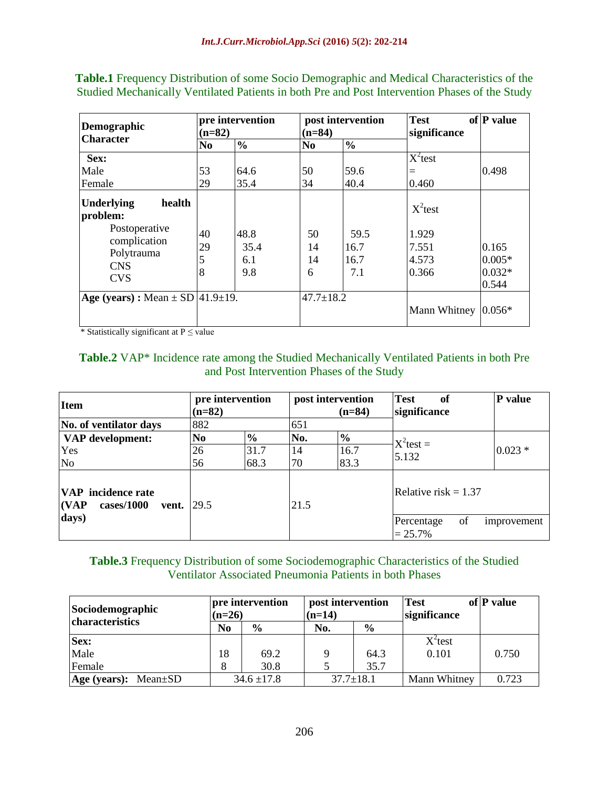| Demographic<br><b>Character</b>                                                                                    | pre intervention<br>$(n=82)$ |                            | $(n=84)$            | post intervention           | <b>Test</b><br>significance                    | of P value                             |
|--------------------------------------------------------------------------------------------------------------------|------------------------------|----------------------------|---------------------|-----------------------------|------------------------------------------------|----------------------------------------|
|                                                                                                                    | N <sub>0</sub>               | $\frac{6}{6}$              | N <sub>0</sub>      | $\frac{0}{0}$               |                                                |                                        |
| Sex:<br>Male<br>Female                                                                                             | 53<br>29                     | 64.6<br>35.4               | 50<br>34            | 59.6<br>40.4                | $X^2$ test<br>$=$<br>0.460                     | 0.498                                  |
| health<br><b>Underlying</b><br>problem:<br>Postoperative<br>complication<br>Polytrauma<br><b>CNS</b><br><b>CVS</b> | 40<br>29<br>5<br>8           | 48.8<br>35.4<br>6.1<br>9.8 | 50<br>14<br>14<br>6 | 59.5<br>16.7<br>16.7<br>7.1 | $X^2$ test<br>1.929<br>7.551<br>4.573<br>0.366 | 0.165<br>$0.005*$<br>$0.032*$<br>0.544 |
| Age (years) : Mean $\pm$ SD  41.9 $\pm$ 19.                                                                        |                              |                            | $47.7 \pm 18.2$     |                             | Mann Whitney                                   | $0.056*$                               |

**Table.1** Frequency Distribution of some Socio Demographic and Medical Characteristics of the Studied Mechanically Ventilated Patients in both Pre and Post Intervention Phases of the Study

 $*$  Statistically significant at P  $\leq$  value

#### **Table.2** VAP\* Incidence rate among the Studied Mechanically Ventilated Patients in both Pre and Post Intervention Phases of the Study

| <b>Item</b>                                               | pre intervention<br>$(n=82)$ |               | post intervention<br>$(n=84)$ |               | <b>Test</b><br>of<br>significance | P value     |
|-----------------------------------------------------------|------------------------------|---------------|-------------------------------|---------------|-----------------------------------|-------------|
| No. of ventilator days                                    | 882                          |               | 651                           |               |                                   |             |
| VAP development:                                          | No                           | $\frac{6}{6}$ | No.                           | $\frac{6}{6}$ | $X^2$ test =                      |             |
| Yes                                                       | 26                           | 31.7          | 14                            | 16.7          | 5.132                             | $0.023*$    |
| No                                                        | 56                           | 68.3          | 70                            | 83.3          |                                   |             |
| <b>VAP</b> incidence rate<br>(VAP)<br>cases/1000<br>vent. | 29.5                         |               | 21.5                          |               | Relative risk $= 1.37$            |             |
| days)                                                     |                              |               |                               |               | of<br>Percentage<br>$= 25.7\%$    | improvement |

#### **Table.3** Frequency Distribution of some Sociodemographic Characteristics of the Studied Ventilator Associated Pneumonia Patients in both Phases

| Sociodemographic<br>$(n=26)$<br>characteristics |                | pre intervention | post intervention<br>$(n=14)$ |               | Test<br>significance | of P value |
|-------------------------------------------------|----------------|------------------|-------------------------------|---------------|----------------------|------------|
|                                                 | N <sub>0</sub> | $\frac{6}{6}$    | No.                           | $\frac{6}{6}$ |                      |            |
| Sex:                                            |                |                  |                               |               | $X^2$ test           |            |
| Male                                            | 18             | 69.2             |                               | 64.3          | 0.101                | 0.750      |
| Female                                          |                | 30.8             |                               | 35.7          |                      |            |
| $Age (years): Mean \pm SD$                      |                | $34.6 \pm 17.8$  | $37.7 \pm 18.1$               |               | Mann Whitney         | 0.723      |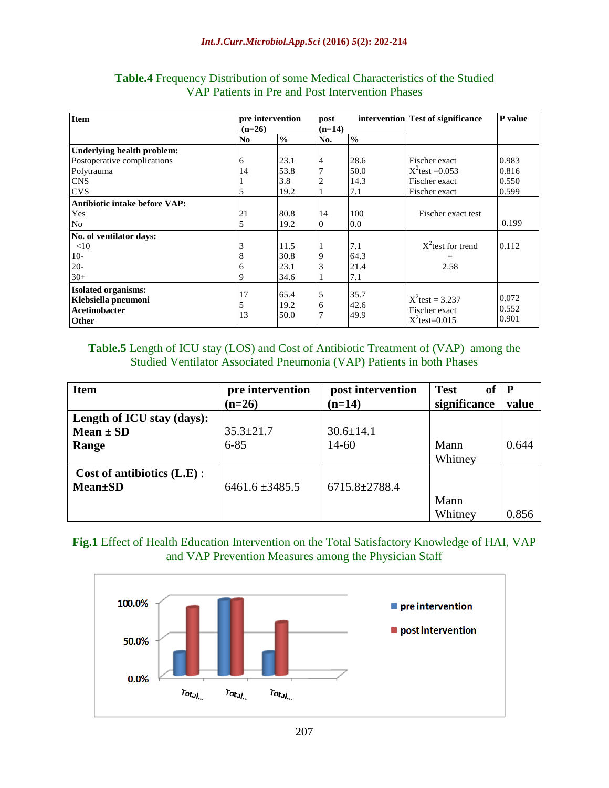| <b>Item</b>                                                                               | pre intervention<br>$(n=26)$ |                      | post<br>$(n=14)$ |                      | intervention Test of significance                       | P value                 |
|-------------------------------------------------------------------------------------------|------------------------------|----------------------|------------------|----------------------|---------------------------------------------------------|-------------------------|
|                                                                                           | N <sub>0</sub>               | $\frac{0}{0}$        | No.              | $\frac{0}{0}$        |                                                         |                         |
| Underlying health problem:                                                                | 6                            | 23.1                 |                  | 28.6                 | Fischer exact                                           | 0.983                   |
| Postoperative complications<br>Polytrauma                                                 | 14                           | 53.8                 | 4                | 50.0                 | $X^2$ test = 0.053                                      | 0.816                   |
| <b>CNS</b><br><b>CVS</b>                                                                  | 5                            | 3.8<br>19.2          |                  | 14.3<br>7.1          | Fischer exact<br>Fischer exact                          | 0.550<br>0.599          |
| Antibiotic intake before VAP:                                                             |                              |                      |                  |                      |                                                         |                         |
| Yes<br>No                                                                                 | 21<br>5                      | 80.8<br>19.2         | 14<br>$\Omega$   | 100<br>0.0           | Fischer exact test                                      | 0.199                   |
| No. of ventilator days:<br><10                                                            |                              | 11.5                 |                  | 7.1                  | $X^2$ test for trend                                    | 0.112                   |
| $10-$                                                                                     |                              | 30.8                 | 9                | 64.3                 |                                                         |                         |
| $20-$<br>$30+$                                                                            | 6                            | 23.1<br>34.6         |                  | 21.4<br>7.1          | 2.58                                                    |                         |
| <b>Isolated organisms:</b><br>Klebsiella pneumoni<br><b>Acetinobacter</b><br><b>Other</b> | 17<br>5<br>13                | 65.4<br>19.2<br>50.0 | 5<br>6           | 35.7<br>42.6<br>49.9 | $X^2$ test = 3.237<br>Fischer exact<br>$X^2$ test=0.015 | 0.072<br>0.552<br>0.901 |

#### **Table.4** Frequency Distribution of some Medical Characteristics of the Studied VAP Patients in Pre and Post Intervention Phases

#### **Table.5** Length of ICU stay (LOS) and Cost of Antibiotic Treatment of (VAP) among the Studied Ventilator Associated Pneumonia (VAP) Patients in both Phases

| <b>Item</b>                   | pre intervention    | post intervention   | <b>Test</b><br>of | $\mathbf{P}$ |
|-------------------------------|---------------------|---------------------|-------------------|--------------|
|                               | $(n=26)$            | $(n=14)$            | significance      | value        |
| Length of ICU stay (days):    |                     |                     |                   |              |
| Mean $\pm$ SD                 | $35.3 \pm 21.7$     | $30.6 \pm 14.1$     |                   |              |
| Range                         | $6 - 85$            | $14 - 60$           | Mann              | 0.644        |
|                               |                     |                     | Whitney           |              |
| Cost of antibiotics $(L.E)$ : |                     |                     |                   |              |
| <b>Mean</b> ±SD               | $6461.6 \pm 3485.5$ | $6715.8 \pm 2788.4$ |                   |              |
|                               |                     |                     | Mann              |              |
|                               |                     |                     | Whitney           | 0.856        |

## **Fig.1** Effect of Health Education Intervention on the Total Satisfactory Knowledge of HAI, VAP and VAP Prevention Measures among the Physician Staff

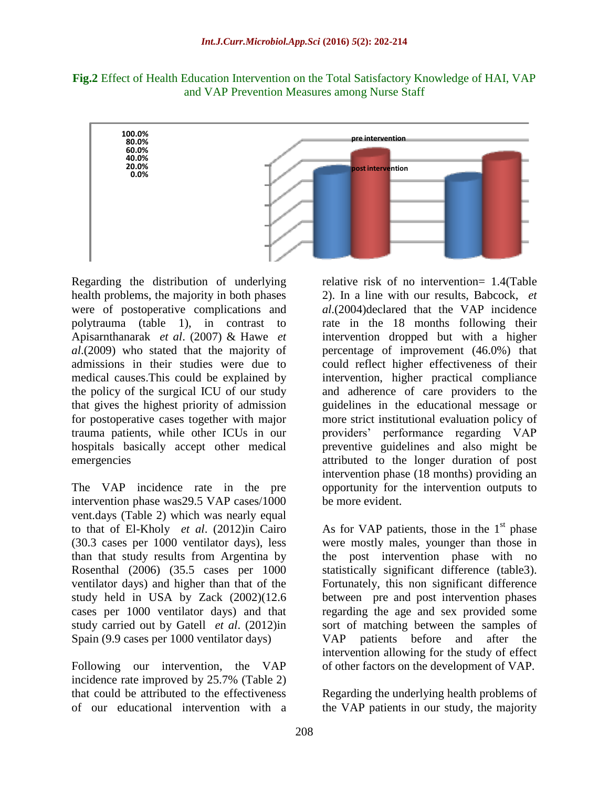**Fig.2** Effect of Health Education Intervention on the Total Satisfactory Knowledge of HAI, VAP and VAP Prevention Measures among Nurse Staff



Regarding the distribution of underlying health problems, the majority in both phases were of postoperative complications and polytrauma (table 1), in contrast to Apisarnthanarak *et al*. (2007) & Hawe *et al*.(2009) who stated that the majority of admissions in their studies were due to medical causes.This could be explained by the policy of the surgical ICU of our study that gives the highest priority of admission for postoperative cases together with major trauma patients, while other ICUs in our hospitals basically accept other medical emergencies

The VAP incidence rate in the pre intervention phase was29.5 VAP cases/1000 vent.days (Table 2) which was nearly equal to that of El-Kholy *et al*. (2012)in Cairo (30.3 cases per 1000 ventilator days), less than that study results from Argentina by Rosenthal (2006) (35.5 cases per 1000 ventilator days) and higher than that of the study held in USA by Zack (2002)(12.6 cases per 1000 ventilator days) and that study carried out by Gatell *et al*. (2012)in Spain (9.9 cases per 1000 ventilator days)

Following our intervention, the VAP incidence rate improved by 25.7% (Table 2) that could be attributed to the effectiveness of our educational intervention with a

relative risk of no intervention= 1.4(Table 2). In a line with our results, Babcock, *et al*.(2004)declared that the VAP incidence rate in the 18 months following their intervention dropped but with a higher percentage of improvement (46.0%) that could reflect higher effectiveness of their intervention, higher practical compliance and adherence of care providers to the guidelines in the educational message or more strict institutional evaluation policy of providers' performance regarding VAP preventive guidelines and also might be attributed to the longer duration of post intervention phase (18 months) providing an opportunity for the intervention outputs to be more evident.

As for VAP patients, those in the  $1<sup>st</sup>$  phase were mostly males, younger than those in the post intervention phase with no statistically significant difference (table3). Fortunately, this non significant difference between pre and post intervention phases regarding the age and sex provided some sort of matching between the samples of VAP patients before and after the intervention allowing for the study of effect of other factors on the development of VAP.

Regarding the underlying health problems of the VAP patients in our study, the majority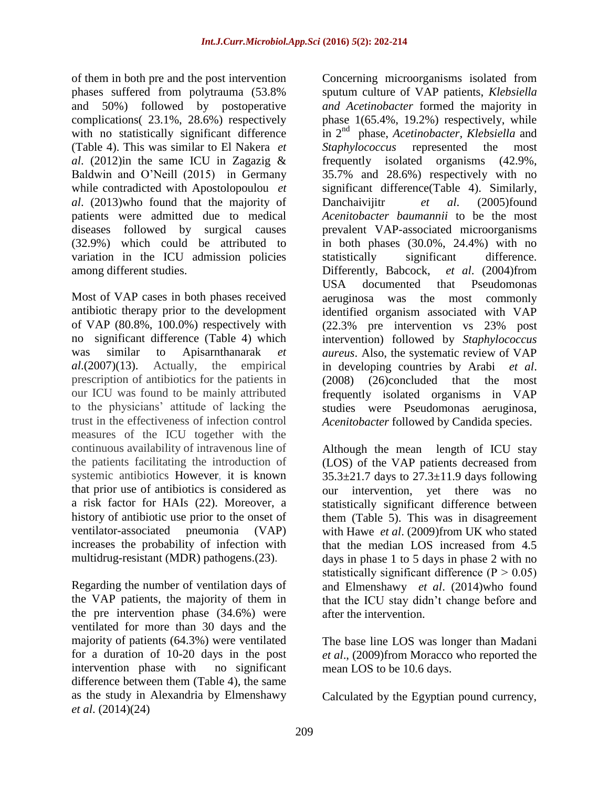of them in both pre and the post intervention phases suffered from polytrauma (53.8% and 50%) followed by postoperative complications( 23.1%, 28.6%) respectively with no statistically significant difference (Table 4). This was similar to El Nakera *et al*. (2012)in the same ICU in Zagazig & Baldwin and O'Neill (2015) in Germany while contradicted with Apostolopoulou *et al*. (2013)who found that the majority of patients were admitted due to medical diseases followed by surgical causes (32.9%) which could be attributed to variation in the ICU admission policies among different studies.

Most of VAP cases in both phases received antibiotic therapy prior to the development of VAP (80.8%, 100.0%) respectively with no significant difference (Table 4) which was similar to Apisarnthanarak *et al*.(2007)(13). Actually, the empirical prescription of antibiotics for the patients in our ICU was found to be mainly attributed to the physicians' attitude of lacking the trust in the effectiveness of infection control measures of the ICU together with the continuous availability of intravenous line of the patients facilitating the introduction of systemic antibiotics However, it is known that prior use of antibiotics is considered as a risk factor for HAIs (22). Moreover, a history of antibiotic use prior to the onset of ventilator-associated pneumonia (VAP) increases the probability of infection with multidrug-resistant (MDR) pathogens.(23).

Regarding the number of ventilation days of the VAP patients, the majority of them in the pre intervention phase (34.6%) were ventilated for more than 30 days and the majority of patients (64.3%) were ventilated for a duration of 10-20 days in the post intervention phase with no significant difference between them (Table 4), the same as the study in Alexandria by Elmenshawy *et al*. (2014)(24)

Concerning microorganisms isolated from sputum culture of VAP patients, *Klebsiella and Acetinobacter* formed the majority in phase 1(65.4%, 19.2%) respectively, while in 2nd phase, *Acetinobacter, Klebsiella* and *Staphylococcus* represented the most frequently isolated organisms (42.9%, 35.7% and 28.6%) respectively with no significant difference(Table 4). Similarly, Danchaivijitr *et al*. (2005)found *Acenitobacter baumannii* to be the most prevalent VAP-associated microorganisms in both phases (30.0%, 24.4%) with no statistically significant difference. Differently, Babcock, *et al*. (2004)from USA documented that Pseudomonas aeruginosa was the most commonly identified organism associated with VAP (22.3% pre intervention vs 23% post intervention) followed by *Staphylococcus aureus*. Also, the systematic review of VAP in developing countries by Arabi *et al*. (2008) (26)concluded that the most frequently isolated organisms in VAP studies were Pseudomonas aeruginosa, *Acenitobacter* followed by Candida species.

Although the mean length of ICU stay (LOS) of the VAP patients decreased from  $35.3\pm21.7$  days to  $27.3\pm11.9$  days following our intervention, yet there was no statistically significant difference between them (Table 5). This was in disagreement with Hawe *et al*. (2009)from UK who stated that the median LOS increased from 4.5 days in phase 1 to 5 days in phase 2 with no statistically significant difference  $(P > 0.05)$ and Elmenshawy *et al*. (2014)who found that the ICU stay didn't change before and after the intervention.

The base line LOS was longer than Madani *et al*., (2009)from Moracco who reported the mean LOS to be 10.6 days.

Calculated by the Egyptian pound currency,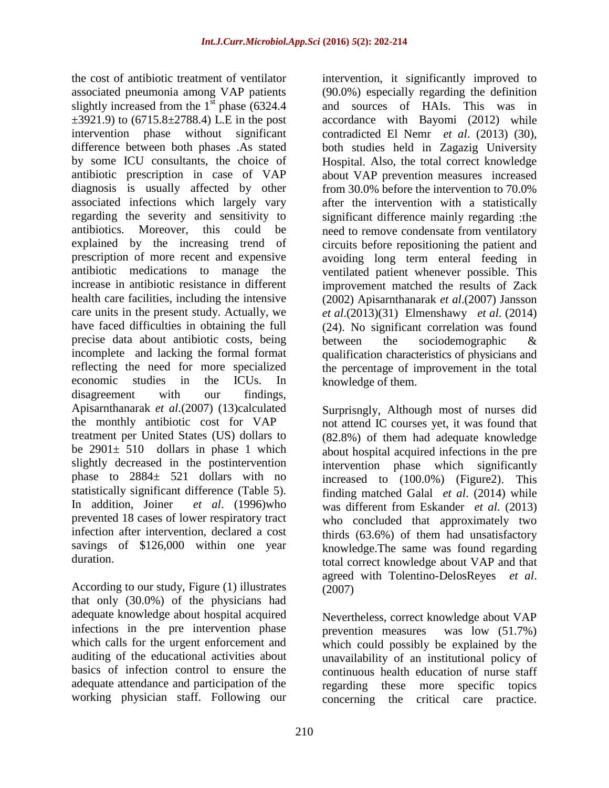the cost of antibiotic treatment of ventilator associated pneumonia among VAP patients slightly increased from the  $1<sup>st</sup>$  phase (6324.4)  $\pm$ 3921.9) to (6715.8 $\pm$ 2788.4) L.E in the post intervention phase without significant difference between both phases .As stated by some ICU consultants, the choice of antibiotic prescription in case of VAP diagnosis is usually affected by other associated infections which largely vary regarding the severity and sensitivity to antibiotics. Moreover, this could be explained by the increasing trend of prescription of more recent and expensive antibiotic medications to manage the increase in antibiotic resistance in different health care facilities, including the intensive care units in the present study. Actually, we have faced difficulties in obtaining the full precise data about antibiotic costs, being incomplete and lacking the formal format reflecting the need for more specialized economic studies in the ICUs. In disagreement with our findings, Apisarnthanarak *et al*.(2007) (13)calculated the monthly antibiotic cost for VAP treatment per United States (US) dollars to be  $2901 \pm 510$  dollars in phase 1 which slightly decreased in the postintervention phase to 2884± 521 dollars with no statistically significant difference (Table 5). In addition, Joiner *et al*. (1996)who prevented 18 cases of lower respiratory tract infection after intervention, declared a cost savings of \$126,000 within one year duration.

According to our study, Figure (1) illustrates that only (30.0%) of the physicians had adequate knowledge about hospital acquired infections in the pre intervention phase which calls for the urgent enforcement and auditing of the educational activities about basics of infection control to ensure the adequate attendance and participation of the working physician staff. Following our

intervention, it significantly improved to (90.0%) especially regarding the definition and sources of HAIs. This was in accordance with Bayomi (2012) while contradicted El Nemr *et al*. (2013) (30), both studies held in Zagazig University Hospital. Also, the total correct knowledge about VAP prevention measures increased from 30.0% before the intervention to 70.0% after the intervention with a statistically significant difference mainly regarding :the need to remove condensate from ventilatory circuits before repositioning the patient and avoiding long term enteral feeding in ventilated patient whenever possible. This improvement matched the results of Zack (2002) Apisarnthanarak *et al*.(2007) [Jansson](javascript:void(0);) *et al*.(2013)(31) Elmenshawy *et al*. (2014) (24). No significant correlation was found between the sociodemographic & qualification characteristics of physicians and the percentage of improvement in the total knowledge of them.

Surprisngly, Although most of nurses did not attend IC courses yet, it was found that (82.8%) of them had adequate knowledge about hospital acquired infections in the pre intervention phase which significantly increased to (100.0%) (Figure2). This finding matched Galal *et al*. (2014) while was different from Eskander *et al*. (2013) who concluded that approximately two thirds (63.6%) of them had unsatisfactory knowledge.The same was found regarding total correct knowledge about VAP and that agreed with Tolentino-DelosReyes *et al*. (2007)

Nevertheless, correct knowledge about VAP prevention measures was low (51.7%) which could possibly be explained by the unavailability of an institutional policy of continuous health education of nurse staff regarding these more specific topics concerning the critical care practice.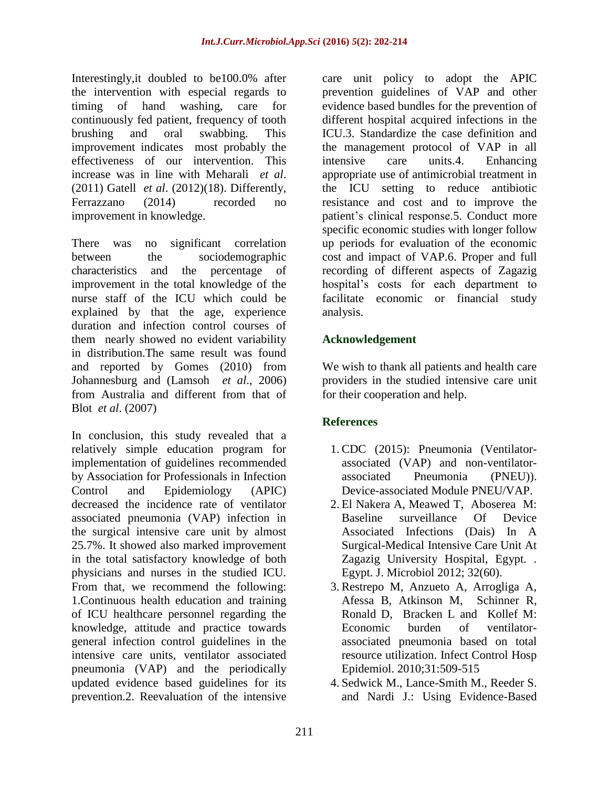Interestingly,it doubled to be100.0% after the intervention with especial regards to timing of hand washing, care for continuously fed patient, frequency of tooth brushing and oral swabbing. This improvement indicates most probably the effectiveness of our intervention. This increase was in line with Meharali *et al*. (2011) Gatell *et al*. (2012)(18). Differently, Ferrazzano (2014) recorded no improvement in knowledge.

There was no significant correlation between the sociodemographic characteristics and the percentage of improvement in the total knowledge of the nurse staff of the ICU which could be explained by that the age, experience duration and infection control courses of them nearly showed no evident variability in distribution.The same result was found and reported by Gomes (2010) from Johannesburg and (Lamsoh *et al*., 2006) from Australia and different from that of Blot *et al*. (2007)

In conclusion, this study revealed that a relatively simple education program for implementation of guidelines recommended by Association for Professionals in Infection Control and Epidemiology (APIC) decreased the incidence rate of ventilator associated pneumonia (VAP) infection in the surgical intensive care unit by almost 25.7%. It showed also marked improvement in the total satisfactory knowledge of both physicians and nurses in the studied ICU. From that, we recommend the following: 1.Continuous health education and training of ICU healthcare personnel regarding the knowledge, attitude and practice towards general infection control guidelines in the intensive care units, ventilator associated pneumonia (VAP) and the periodically updated evidence based guidelines for its prevention.2. Reevaluation of the intensive

care unit policy to adopt the APIC prevention guidelines of VAP and other evidence based bundles for the prevention of different hospital acquired infections in the ICU.3. Standardize the case definition and the management protocol of VAP in all intensive care units.4. Enhancing appropriate use of antimicrobial treatment in the ICU setting to reduce antibiotic resistance and cost and to improve the patient's clinical response.5. Conduct more specific economic studies with longer follow up periods for evaluation of the economic cost and impact of VAP.6. Proper and full recording of different aspects of Zagazig hospital's costs for each department to facilitate economic or financial study analysis.

## **Acknowledgement**

We wish to thank all patients and health care providers in the studied intensive care unit for their cooperation and help.

# **References**

- 1. CDC (2015): Pneumonia (Ventilatorassociated (VAP) and non-ventilatorassociated Pneumonia (PNEU)). Device-associated Module PNEU/VAP.
- 2. El Nakera A, Meawed T, Aboserea M: Baseline surveillance Of Device Associated Infections (Dais) In A Surgical-Medical Intensive Care Unit At Zagazig University Hospital, Egypt. . Egypt. J. Microbiol 2012; 32(60).
- 3. Restrepo M, Anzueto A, Arrogliga A, Afessa B, Atkinson M, Schinner R, Ronald D, Bracken L and Kollef M: Economic burden of ventilatorassociated pneumonia based on total resource utilization. Infect Control Hosp Epidemiol. 2010;31:509-515
- 4. Sedwick M., Lance-Smith M., Reeder S. and Nardi J.: Using Evidence-Based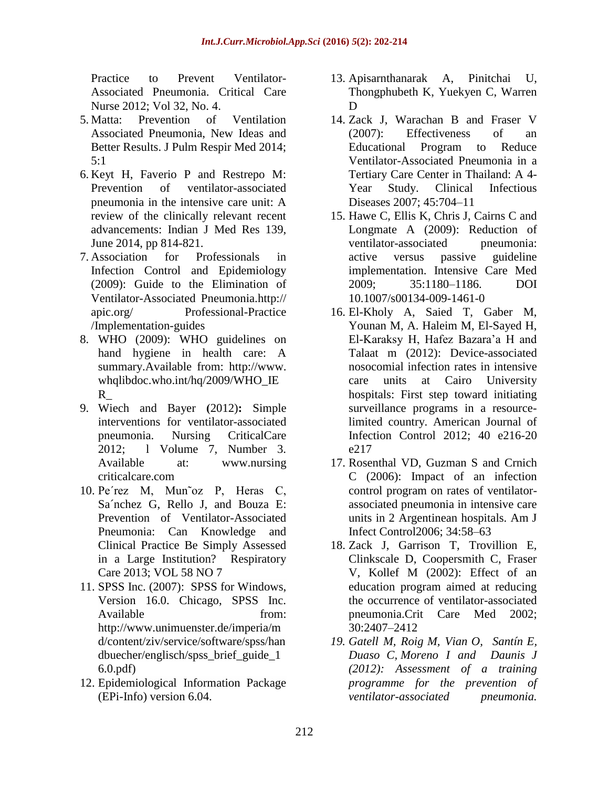Practice to Prevent Ventilator-Associated Pneumonia. Critical Care Nurse 2012; Vol 32, No. 4.

- 5. Matta: Prevention of Ventilation Associated Pneumonia, New Ideas and Better Results. J Pulm Respir Med 2014; 5:1
- 6. Keyt H, Faverio P and Restrepo M: Prevention of ventilator-associated pneumonia in the intensive care unit: A review of the clinically relevant recent advancements: Indian J Med Res 139, June 2014, pp 814-821.
- 7. Association for Professionals in Infection Control and Epidemiology (2009): Guide to the Elimination of Ventilator-Associated Pneumonia.http:// apic.org/ Professional-Practice /Implementation-guides
- 8. WHO (2009): WHO guidelines on hand hygiene in health care: A summary.Available from: [http://www.](http://www/) whqlibdoc.who.int/hq/2009/WHO\_IE  $R$
- 9. Wiech and Bayer (2012): Simple interventions for ventilator-associated pneumonia. Nursing CriticalCare 2012; l Volume 7, Number 3. Available at: www.nursing criticalcare.com
- 10. Pe´rez M, Mun˜oz P, Heras C, Sa´nchez G, Rello J, and Bouza E: Prevention of Ventilator-Associated Pneumonia: Can Knowledge and Clinical Practice Be Simply Assessed in a Large Institution? Respiratory Care 2013; VOL 58 NO 7
- 11. SPSS Inc. (2007): SPSS for Windows, Version 16.0. Chicago, SPSS Inc. Available from: [http://www.unimuenster.de/imperia/m](http://www.unimuenster.de/imperia/md/content/ziv/service/software/spss/handbuecher/englisch/spss_brief_guide_16.0.pdf) [d/content/ziv/service/software/spss/han](http://www.unimuenster.de/imperia/md/content/ziv/service/software/spss/handbuecher/englisch/spss_brief_guide_16.0.pdf) [dbuecher/englisch/spss\\_brief\\_guide\\_1](http://www.unimuenster.de/imperia/md/content/ziv/service/software/spss/handbuecher/englisch/spss_brief_guide_16.0.pdf) [6.0.pdf\)](http://www.unimuenster.de/imperia/md/content/ziv/service/software/spss/handbuecher/englisch/spss_brief_guide_16.0.pdf)
- 12. Epidemiological Information Package (EPi-Info) version 6.04.
- 13. Apisarnthanarak A, Pinitchai U, Thongphubeth K, Yuekyen C, Warren D
- 14. Zack J, Warachan B and Fraser V (2007): Effectiveness of an Educational Program to Reduce Ventilator-Associated Pneumonia in a Tertiary Care Center in Thailand: A 4- Year Study. Clinical Infectious Diseases 2007; 45:704–11
- 15. Hawe C, Ellis K, Chris J, Cairns C and Longmate A (2009): Reduction of ventilator-associated pneumonia: active versus passive guideline implementation. Intensive Care Med 2009; 35:1180–1186. DOI 10.1007/s00134-009-1461-0
- 16. El-Kholy A, Saied T, Gaber M, Younan M, A. Haleim M, El-Sayed H, El-Karaksy H, Hafez Bazara'a H and Talaat m (2012): Device-associated nosocomial infection rates in intensive care units at Cairo University hospitals: First step toward initiating surveillance programs in a resourcelimited country. American Journal of Infection Control 2012; 40 e216-20 e217
- 17. Rosenthal VD, Guzman S and Crnich C (2006): Impact of an infection control program on rates of ventilatorassociated pneumonia in intensive care units in 2 Argentinean hospitals. Am J Infect Control2006; 34:58–63
- 18. Zack J, Garrison T, Trovillion E, Clinkscale D, Coopersmith C, Fraser V, Kollef M (2002): Effect of an education program aimed at reducing the occurrence of ventilator-associated pneumonia.Crit Care Med 2002; 30:2407–2412
- *19. Gatell M, Roig M, Vian O, Santín E, Duaso C, Moreno I and Daunis J (2012): Assessment of a training programme for the prevention of ventilator-associated pneumonia.*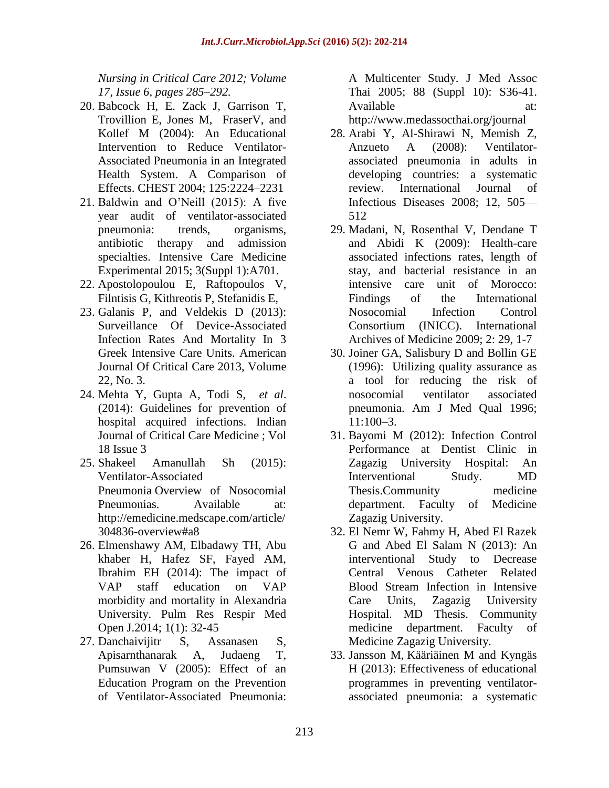*Nursing in Critical Care 2012; [Volume](http://onlinelibrary.wiley.com/doi/10.1111/ncr.2012.17.issue-6/issuetoc) 17, [Issue](http://onlinelibrary.wiley.com/doi/10.1111/ncr.2012.17.issue-6/issuetoc) 6, pages 285–292.*

- 20. Babcock H, E. Zack J, Garrison T, Trovillion E, Jones M, FraserV, and Kollef M (2004): An Educational Intervention to Reduce Ventilator-Associated Pneumonia in an Integrated Health System. A Comparison of Effects. CHEST 2004; 125:2224–2231
- 21. Baldwin and O'Neill (2015): A five year audit of ventilator-associated pneumonia: trends, organisms, antibiotic therapy and admission specialties. Intensive Care Medicine Experimental 2015; 3(Suppl 1):A701.
- 22. Apostolopoulou E, Raftopoulos V, Filntisis G, Kithreotis P, Stefanidis E,
- 23. Galanis P, and Veldekis D (2013): Surveillance Of Device-Associated Infection Rates And Mortality In 3 Greek Intensive Care Units. American Journal Of Critical Care 2013, Volume 22, No. 3.
- 24. Mehta Y, Gupta A, Todi S, *et al*. (2014): Guidelines for prevention of hospital acquired infections. Indian Journal of Critical Care Medicine ; Vol 18 Issue 3
- 25. Shakeel Amanullah Sh (2015): Ventilator-Associated Pneumonia Overview of Nosocomial Pneumonias. Available at: http://emedicine.medscape.com/article/ 304836-overview#a8
- 26. Elmenshawy AM, Elbadawy TH, Abu khaber H, Hafez SF, Fayed AM, Ibrahim EH (2014): The impact of VAP staff education on VAP morbidity and mortality in Alexandria University. Pulm Res Respir Med Open J.2014; 1(1): 32-45
- 27. Danchaivijitr S, Assanasen S, Apisarnthanarak A, Judaeng T, Pumsuwan V (2005): Effect of an Education Program on the Prevention of Ventilator-Associated Pneumonia:

A Multicenter Study. J Med Assoc Thai 2005; 88 (Suppl 10): S36-41. Available at:

http://www.medassocthai.org/journal

- 28. Arabi Y, Al-Shirawi N, Memish Z, Anzueto A (2008): Ventilatorassociated pneumonia in adults in developing countries: a systematic review. International Journal of Infectious Diseases 2008; 12, 505— 512
- 29. Madani, N, Rosenthal V, Dendane T and Abidi K (2009): Health-care associated infections rates, length of stay, and bacterial resistance in an intensive care unit of Morocco: Findings of the International Nosocomial Infection Control Consortium (INICC). International Archives of Medicine 2009; 2: 29, 1-7
- 30. [Joiner GA, Salisbury D and Bollin GE](javascript:void(0);)  [\(1996\): Utilizing quality assurance as](javascript:void(0);)  a [tool for reducing the risk of](javascript:void(0);)  [nosocomial ventilator associated](javascript:void(0);)  [pneumonia. Am J Med Qual 1996;](javascript:void(0);)  [11:100–3.](javascript:void(0);)
- 31. [Bayomi M \(2012\): Infection Control](javascript:void(0);)  [Performance at Dentist Clinic in](javascript:void(0);)  [Zagazig University Hospital: An](javascript:void(0);)  [Interventional Study. MD](javascript:void(0);)  [Thesis.Community medicine](javascript:void(0);)  [department. Faculty of Medicine](javascript:void(0);)  [Zagazig University.](javascript:void(0);)
- 32. El Nemr W, [Fahmy H, Abed El Razek](javascript:void(0);)  [G and Abed El Salam N](javascript:void(0);) (2013): An [interventional Study to Decrease](javascript:void(0);)  [Central Venous Catheter Related](javascript:void(0);)  [Blood Stream Infection in Intensive](javascript:void(0);)  [Care Units, Zagazig University](javascript:void(0);)  [Hospital. MD Thesis. Community](javascript:void(0);)  [medicine department. Faculty of](javascript:void(0);)  [Medicine Zagazig University.](javascript:void(0);)
- 33. [Jansson](javascript:void(0);) M, [Kääriäinen](javascript:void(0);) M and [Kyngäs](javascript:void(0);) H (2013): Effectiveness of educational programmes in preventing ventilatorassociated pneumonia: a systematic